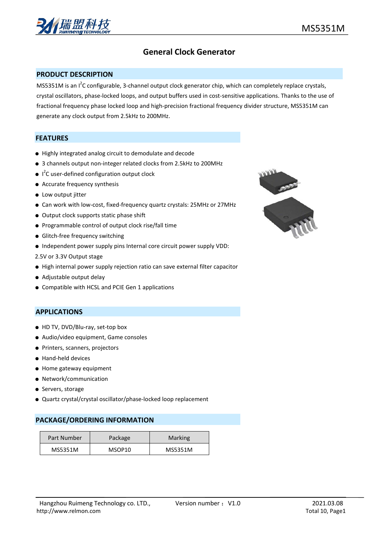

# **General Clock Generator**

#### **PRODUCT DESCRIPTION**

MS5351M is an I<sup>2</sup>C configurable, 3-channel output clock generator chip, which can completely replace crystals, crystal oscillators, phase-locked loops, and output buffers used in cost-sensitive applications. Thanks to the use of fractional frequency phase locked loop and high-precision fractional frequency divider structure, MS5351M can generate any clock output from 2.5kHz to 200MHz.

## **FEATURES**

- Highly integrated analog circuit to demodulate and decode
- 3 channels output non-integer related clocks from 2.5kHz to 200MHz
- $\bullet$   $1^2$ C user-defined configuration output clock
- Accurate frequency synthesis
- Low output jitter
- Can work with low-cost, fixed-frequency quartz crystals: 25MHz or 27MHz
- Output clock supports static phase shift
- Programmable control of output clock rise/fall time
- Glitch-free frequency switching
- Independent power supply pins Internal core circuit power supply VDD:
- 2.5V or 3.3V Output stage
- High internal power supply rejection ratio can save external filter capacitor
- Adjustable output delay
- Compatible with HCSL and PCIE Gen 1 applications

#### **APPLICATIONS**

- HD TV, DVD/Blu-ray, set-top box
- Audio/video equipment, Game consoles
- Printers, scanners, projectors
- Hand-held devices
- Home gateway equipment
- Network/communication
- Servers, storage
- Quartz crystal/crystal oscillator/phase-locked loop replacement

#### **PACKAGE/ORDERING INFORMATION**

| Part Number | Package | Marking |
|-------------|---------|---------|
| MS5351M     | MSOP10  | MS5351M |

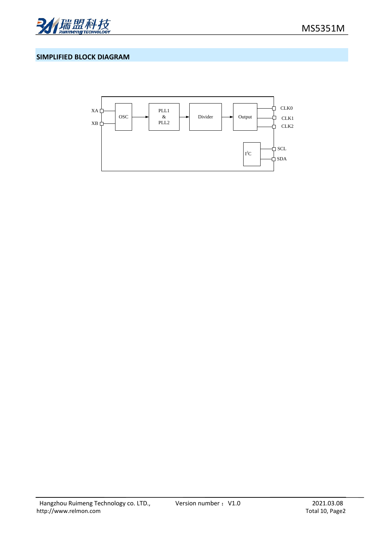

## **SIMPLIFIED BLOCK DIAGRAM**

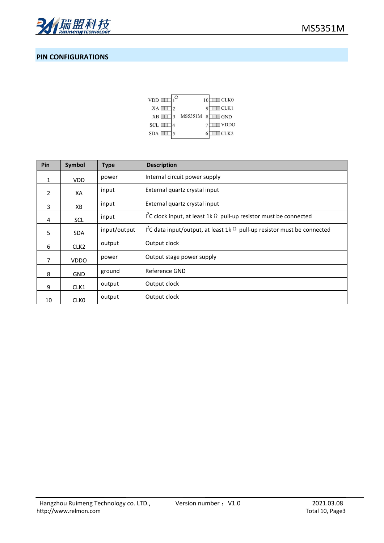

# **PIN CONFIGURATIONS**

| $VDD$ $\Box$    |         | 10 | $\Box$ CLK0 |
|-----------------|---------|----|-------------|
| XA              |         |    | $\Box$ CLK1 |
| XB [            | MS5351M |    | $\Box$ GND  |
| $SCL$ $\Box$    |         |    | <b>VDDO</b> |
| $SDA \sqsubset$ |         |    | ICLK2       |

| Pin          | Symbol           | <b>Type</b>  | <b>Description</b>                                                                          |  |  |  |  |
|--------------|------------------|--------------|---------------------------------------------------------------------------------------------|--|--|--|--|
| $\mathbf{1}$ | VDD.             | power        | Internal circuit power supply                                                               |  |  |  |  |
| 2            | XA               | input        | External quartz crystal input                                                               |  |  |  |  |
| 3            | XB               | input        | External quartz crystal input                                                               |  |  |  |  |
| 4            | <b>SCL</b>       | input        | $I^{2}C$ clock input, at least 1k $\Omega$ pull-up resistor must be connected               |  |  |  |  |
| 5            | <b>SDA</b>       | input/output | I <sup>2</sup> C data input/output, at least 1k $\Omega$ pull-up resistor must be connected |  |  |  |  |
| 6            | CLK <sub>2</sub> | output       | Output clock                                                                                |  |  |  |  |
| 7            | <b>VDDO</b>      | power        | Output stage power supply                                                                   |  |  |  |  |
| 8            | GND              | ground       | Reference GND                                                                               |  |  |  |  |
| 9            | CLK1             | output       | Output clock                                                                                |  |  |  |  |
| 10           | <b>CLKO</b>      | output       | Output clock                                                                                |  |  |  |  |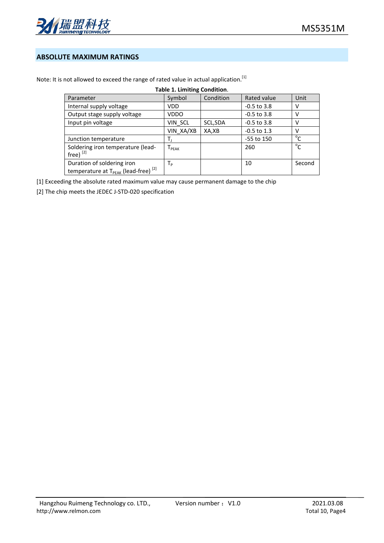

## **ABSOLUTE MAXIMUM RATINGS**

| <b>Table 1. Limiting Condition.</b>                         |             |           |               |              |  |  |  |
|-------------------------------------------------------------|-------------|-----------|---------------|--------------|--|--|--|
| Parameter                                                   | Symbol      | Condition | Rated value   | Unit         |  |  |  |
| Internal supply voltage                                     | <b>VDD</b>  |           | $-0.5$ to 3.8 | v            |  |  |  |
| Output stage supply voltage                                 | <b>VDDO</b> |           | $-0.5$ to 3.8 | v            |  |  |  |
| Input pin voltage                                           | VIN SCL     | SCL, SDA  | $-0.5$ to 3.8 | v            |  |  |  |
|                                                             | VIN XA/XB   | XA,XB     | $-0.5$ to 1.3 | v            |  |  |  |
| Junction temperature                                        |             |           | -55 to 150    | $^{\circ}$ C |  |  |  |
| Soldering iron temperature (lead-                           | $I_{PEAK}$  |           | 260           | $^{\circ}$ C |  |  |  |
| free) $^{[2]}$                                              |             |           |               |              |  |  |  |
| Duration of soldering iron                                  | Тp          |           | 10            | Second       |  |  |  |
| temperature at T <sub>PEAK</sub> (lead-free) <sup>[2]</sup> |             |           |               |              |  |  |  |

Note: It is not allowed to exceed the range of rated value in actual application.<sup>[1]</sup>

[1] Exceeding the absolute rated maximum value may cause permanent damage to the chip

[2] The chip meets the JEDEC J-STD-020 specification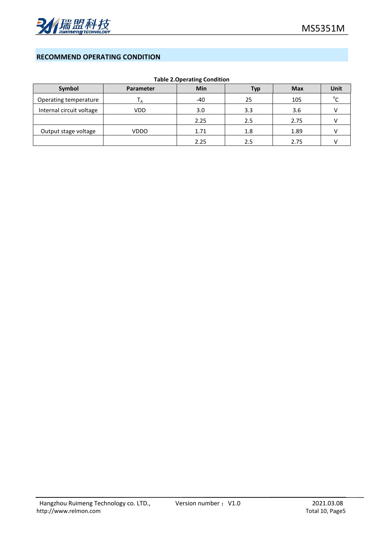

## **RECOMMEND OPERATING CONDITION**

|  | <b>Table 2. Operating Condition</b> |  |
|--|-------------------------------------|--|
|--|-------------------------------------|--|

| Symbol                   | Parameter   | Min   | Тур | <b>Max</b> | Unit |
|--------------------------|-------------|-------|-----|------------|------|
| Operating temperature    | ιA          | $-40$ | 25  | 105        |      |
| Internal circuit voltage | VDD         | 3.0   | 3.3 | 3.6        |      |
|                          |             | 2.25  | 2.5 | 2.75       |      |
| Output stage voltage     | <b>VDDO</b> | 1.71  | 1.8 | 1.89       |      |
|                          |             | 2.25  | 2.5 | 2.75       |      |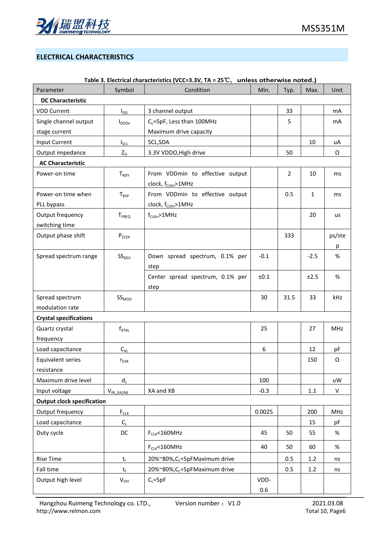

# **ELECTRICAL CHARACTERISTICS**

|                                   |                   | Table 3. Electrical characteristics (VCC=3.3V, TA = 25 $\mathbb{C}$ , Uniess otherwise noted.) |        |      |              |        |
|-----------------------------------|-------------------|------------------------------------------------------------------------------------------------|--------|------|--------------|--------|
| Parameter                         | Symbol            | Condition                                                                                      | Min.   | Typ. | Max.         | Unit   |
| <b>DC Characteristic</b>          |                   |                                                                                                |        |      |              |        |
| <b>VDD Current</b>                | $I_{DD}$          | 3 channel output                                                                               |        | 33   |              | mA     |
| Single channel output             | $I_{DDOX}$        | C <sub>L</sub> =5pF, Less than 100MHz                                                          |        | 5    |              | mA     |
| stage current                     |                   | Maximum drive capacity                                                                         |        |      |              |        |
| Input Current                     | $I_{SCL}$         | SCL, SDA                                                                                       |        |      | 10           | uA     |
| Output impedance                  | $Z_0$             | 3.3V VDDO, High drive                                                                          |        | 50   |              | Ω      |
| <b>AC Characteristic</b>          |                   |                                                                                                |        |      |              |        |
| Power-on time                     | T <sub>RDY</sub>  | From VDDmin to effective output<br>clock, f <sub>CLKn</sub> >1MHz                              |        | 2    | 10           | ms     |
| Power-on time when                | $T_{BYP}$         | From VDDmin to effective output                                                                |        | 0.5  | $\mathbf{1}$ | ms     |
| PLL bypass                        |                   | clock, f <sub>CLKn</sub> >1MHz                                                                 |        |      |              |        |
| Output frequency                  | T <sub>FREQ</sub> | $f_{CLKn} > 1$ MHz                                                                             |        |      | 20           | us     |
| switching time                    |                   |                                                                                                |        |      |              |        |
| Output phase shift                | $P_{STEP}$        |                                                                                                |        | 333  |              | ps/ste |
|                                   |                   |                                                                                                |        |      |              | p      |
| Spread spectrum range             | SS <sub>DEV</sub> | Down spread spectrum, 0.1% per<br>step                                                         | $-0.1$ |      | $-2.5$       | %      |
|                                   |                   | Center spread spectrum, 0.1% per<br>step                                                       | ±0.1   |      | ±2.5         | %      |
| Spread spectrum                   | SS <sub>MOD</sub> |                                                                                                | 30     | 31.5 | 33           | kHz    |
| modulation rate                   |                   |                                                                                                |        |      |              |        |
| <b>Crystal specifications</b>     |                   |                                                                                                |        |      |              |        |
| Quartz crystal                    | $f_{\text{XTAL}}$ |                                                                                                | 25     |      | 27           | MHz    |
| frequency                         |                   |                                                                                                |        |      |              |        |
| Load capacitance                  | $C_{XL}$          |                                                                                                | 6      |      | 12           | pF     |
| Equivalent series                 | $r_{ESR}$         |                                                                                                |        |      | 150          | Ω      |
| resistance                        |                   |                                                                                                |        |      |              |        |
| Maximum drive level               | $d_L$             |                                                                                                | 100    |      |              | uW     |
| Input voltage                     | $V_{IN\_XA/AB}$   | XA and XB                                                                                      | $-0.3$ |      | 1.1          | V      |
| <b>Output clock specification</b> |                   |                                                                                                |        |      |              |        |
| Output frequency                  | $F_{CLK}$         |                                                                                                | 0.0025 |      | 200          | MHz    |
| Load capacitance                  | $C_{\rm L}$       |                                                                                                |        |      | 15           | pF     |
| Duty cycle                        | DC                | $F_{CLK}$ <160MHz                                                                              | 45     | 50   | 55           | $\%$   |
|                                   |                   | $F_{CLK}$ <160MHz                                                                              | 40     | 50   | 60           | $\%$   |
| <b>Rise Time</b>                  | $t_r$             | 20%~80%, C <sub>L</sub> =5pFMaximum drive                                                      |        | 0.5  | 1.2          | ns     |
| Fall time                         | $t_{\rm f}$       | 20%~80%, CL=5pFMaximum drive                                                                   |        | 0.5  | $1.2\,$      | ns     |
| Output high level                 | $V_{OH}$          | $C_L = 5pF$                                                                                    | VDD-   |      |              |        |

## **Table 3. Electrical characteristics (VCC=3.3V, TA = 25**℃, **unless otherwise noted.)**

0.6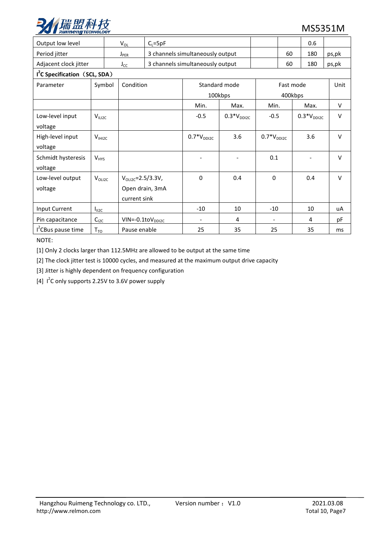

| Output low level                          |                    | $V_{OL}$<br>$C_{L} = 5pF$ |                          |                                  |                 |                 |           | 0.6             |        |
|-------------------------------------------|--------------------|---------------------------|--------------------------|----------------------------------|-----------------|-----------------|-----------|-----------------|--------|
| Period jitter                             | $J_{PER}$          |                           |                          | 3 channels simultaneously output |                 |                 | 60        | 180             | ps,pk  |
| Adjacent clock jitter                     |                    | $J_{CC}$                  |                          | 3 channels simultaneously output |                 |                 | 60        | 180             | ps,pk  |
| I <sup>2</sup> C Specification (SCL, SDA) |                    |                           |                          |                                  |                 |                 |           |                 |        |
| Parameter                                 | Symbol             | Condition                 |                          |                                  | Standard mode   |                 | Fast mode |                 | Unit   |
|                                           |                    |                           |                          |                                  | 100kbps         |                 | 400kbps   |                 |        |
|                                           |                    |                           |                          | Min.                             | Max.            | Min.            |           | Max.            | V      |
| Low-level input                           | V <sub>ILI2C</sub> |                           |                          | $-0.5$                           | $0.3*V_{DDI2C}$ | $-0.5$          |           | $0.3*V_{DDI2C}$ | $\vee$ |
| voltage                                   |                    |                           |                          |                                  |                 |                 |           |                 |        |
| High-level input                          | $V_{H12C}$         |                           |                          | $0.7*V_{DDI2C}$                  | 3.6             | $0.7*V_{DDI2C}$ |           | 3.6             | $\vee$ |
| voltage                                   |                    |                           |                          |                                  |                 |                 |           |                 |        |
| Schmidt hysteresis                        | $V_{HYS}$          |                           |                          |                                  |                 | 0.1             |           |                 | $\vee$ |
| voltage                                   |                    |                           |                          |                                  |                 |                 |           |                 |        |
| Low-level output                          | $V_{OLIZC}$        |                           | $V_{OLIZC} = 2.5/3.3V$ , | $\Omega$                         | 0.4             | $\mathbf{0}$    |           | 0.4             | $\vee$ |
| voltage                                   |                    |                           | Open drain, 3mA          |                                  |                 |                 |           |                 |        |
|                                           |                    |                           | current sink             |                                  |                 |                 |           |                 |        |
| Input Current                             | $I_{II2C}$         |                           |                          | $-10$                            | 10              | $-10$           |           | 10              | uA     |
| Pin capacitance                           | $C_{12C}$          |                           | $VIN = -0.1 to VDD12C$   |                                  | 4               |                 |           | 4               | рF     |
| I <sup>2</sup> CBus pause time            | $T_{TO}$           |                           | Pause enable             | 25                               | 35              | 25              |           | 35              | ms     |

NOTE:

[1] Only 2 clocks larger than 112.5MHz are allowed to be output at the same time

[2] The clock jitter test is 10000 cycles, and measured at the maximum output drive capacity

[3] Jitter is highly dependent on frequency configuration

[4]  $I^2C$  only supports 2.25V to 3.6V power supply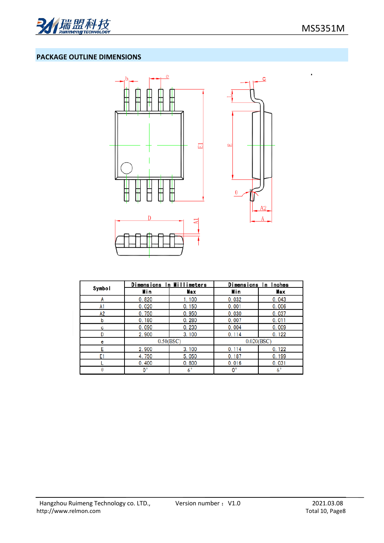

## **PACKAGE OUTLINE DIMENSIONS**



|        | Dimensions In Millimeters |             | Dimensions In Inches |             |
|--------|---------------------------|-------------|----------------------|-------------|
| Symbol | Min                       | Max         | Min                  | Max         |
| A      | 0.820                     | 1.100       | 0.032                | 0.043       |
| A1     | 0.020                     | 0.150       | 0.001                | 0.006       |
| А2     | 0.750                     | 0.950       | 0.030                | 0.037       |
| b      | 0.180                     | 0.280       | 0.007                | 0.011       |
| с      | 0.090                     | 0.230       | 0.004                | 0.009       |
| D      | 2.900                     | 3.100       | 0.114                | 0.122       |
| е      | 0.50(BSC)                 |             | 0.020(BSC)           |             |
| E      | 2.900                     | 3.100       | 0.114                | 0.122       |
| E1     | 4.750                     | 5.050       | 0.187                | 0.199       |
|        | 0.400                     | 0.800       | 0.016                | 0.031       |
| θ      | 0°                        | $6^{\circ}$ | $0^{\circ}$          | $6^{\circ}$ |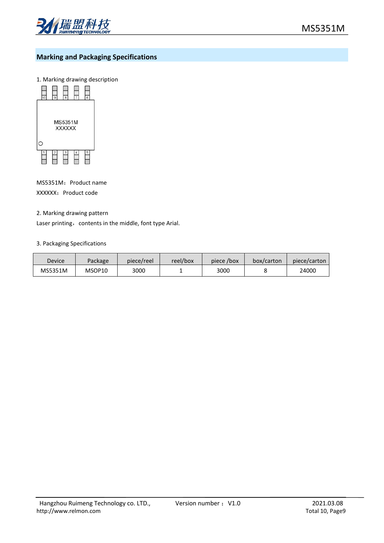

# **Marking and Packaging Specifications**

1. Marking drawing description



MS5351M: Product name XXXXX: Product code

#### 2. Marking drawing pattern

Laser printing, contents in the middle, font type Arial.

#### 3. Packaging Specifications

| Device  | Package | piece/reel | reel/box | piece /box | box/carton | piece/carton |
|---------|---------|------------|----------|------------|------------|--------------|
| MS5351M | MSOP10  | 3000       |          | 3000       |            | 24000        |